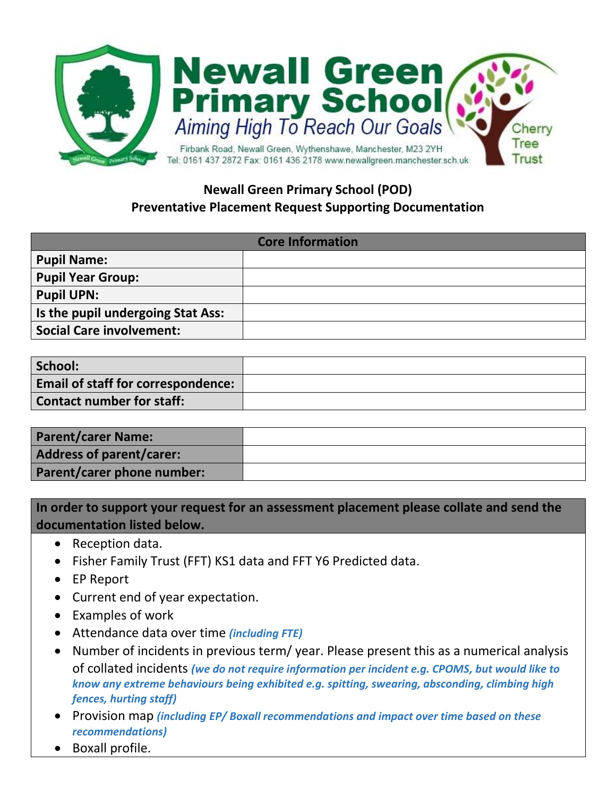

## **Newall Green Primary School (POD) Preventative Placement Request Supporting Documentation**

| <b>Core Information</b>           |  |
|-----------------------------------|--|
| <b>Pupil Name:</b>                |  |
| <b>Pupil Year Group:</b>          |  |
| <b>Pupil UPN:</b>                 |  |
| Is the pupil undergoing Stat Ass: |  |
| <b>Social Care involvement:</b>   |  |

| School:                                   |  |
|-------------------------------------------|--|
| <b>Email of staff for correspondence:</b> |  |
| Contact number for staff:                 |  |

| <b>Parent/carer Name:</b>  |  |
|----------------------------|--|
| Address of parent/carer:   |  |
| Parent/carer phone number: |  |

**In order to support your request for an assessment placement please collate and send the documentation listed below.**

- Reception data.
- Fisher Family Trust (FFT) KS1 data and FFT Y6 Predicted data.
- EP Report
- Current end of year expectation.
- Examples of work
- Attendance data over time *(including FTE)*
- Number of incidents in previous term/ year. Please present this as a numerical analysis of collated incidents *(we do not require information per incident e.g. CPOMS, but would like to know any extreme behaviours being exhibited e.g. spitting, swearing, absconding, climbing high fences, hurting staff)*
- Provision map *(including EP/ Boxall recommendations and impact over time based on these recommendations)*
- Boxall profile.